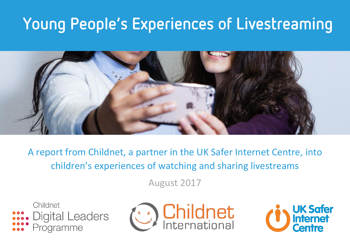# Young People's Experiences of Livestreaming



A report from Childnet, a partner in the UK Safer Internet Centre, into children's experiences of watching and sharing livestreams

August 2017





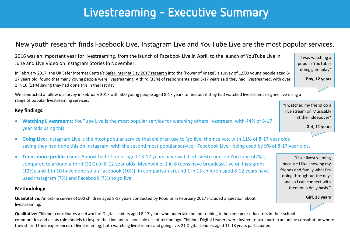### Livestreaming - Executive Summary

### New youth research finds Facebook Live, Instagram Live and YouTube Live are the most popular services.

2016 was an important year for livestreaming, from the launch of Facebook Live in April, to the launch of YouTube Live in June and Live Video on Instagram Stories in November.

In February 2017, the UK Safer Internet Centre's [Safer Internet Day 2017 research](https://d1afx9quaogywf.cloudfront.net/cdn/farfuture/QJdfc3eLb1dtCGdoXveKonZd7ln12djuLEgIGIW73Bk/mtime:1486223538/sites/default/files/Safer%20Internet%20Day%202017/Power%20of%20Image%20-%20a%20report%20into%20the%20influence%20of%20images%20and%20videos%20in%20young%20people%27s%20digital%20lives.pdf) into the 'Power of Image', a survey of 1,500 young people aged 8- 17 years old, found that many young people were livestreaming. A third (33%) of respondents aged 8-17 years said they had livestreamed, with over 1 in 10 (11%) saying they had done this in the last day.

We conducted a follow up survey in February 2017 with 500 young people aged 8-17 years to find out if they had watched livestreams or gone live using a range of popular livestreaming services.

#### **Key findings:**

- **Watching Livestreams**: YouTube Live is the most popular service for watching others livestream, with 44% of 8-17 year olds using this.
- **Going Live**: Instagram Live is the most popular service that children use to 'go live' themselves, with 11% of 8-17 year olds saying they had done this on Instagram, with the second most popular service - Facebook Live - being used by 9% of 8-17 year olds.
- **Teens more prolific users**: Almost half of teens aged 13-17 years have watched livestreams on YouTube (47%), compared to around a third (32%) of 8-12 year olds. Meanwhile, 1 in 8 teens have broadcast live on Instagram (12%), and 1 in 10 have done so on Facebook (10%). In comparison around 1 in 15 children aged 8-12 years have used Instagram (7%) and Facebook (7%) to go live.

#### **Methodology**

**Quantitative:** An online survey of 500 children aged 8-17 years conducted by Populus in February 2017 included a question about livestreaming.

**Qualitative:** Childnet coordinates a network of Digital Leaders aged 8-17 years who undertake online training to become peer educators in their school communities and act as role models to inspire the kind and responsible use of technology. Childnet Digital Leaders were invited to take part in an online consultation where they shared their experiences of livestreaming, both watching livestreams and going live. 21 Digital Leaders aged 11-18 years participated.

"I was watching a popular YouTuber doing gameplay"

**Boy, 12 years**

"I watched my friend do a live stream on Musical.ly at their sleepover"

**Girl, 11 years**

"I like livestreaming because I like showing my friends and family what I'm doing throughout the day, and so I can connect with them on a daily basis."

**Girl, 13 years**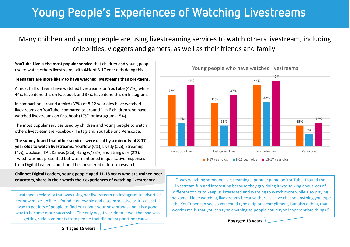## Young People's Experiences of Watching Livestreams

Many children and young people are using livestreaming services to watch others livestream, including celebrities, vloggers and gamers, as well as their friends and family.

**YouTube Live is the most popular service** that children and young people use to watch others livestream, with 44% of 8-17 year olds doing this.

#### **Teenagers are more likely to have watched livestreams than pre-teens.**

Almost half of teens have watched livestreams on YouTube (47%), while 44% have done this on Facebook and 37% have done this on Instagram.

In comparison, around a third (32%) of 8-12 year olds have watched livestreams on YouTube, compared to around 1 in 6 children who have watched livestreams on Facebook (17%) or Instagram (15%).

The most popular services used by children and young people to watch others livestream are Facebook, Instagram, YouTube and Periscope.

**The survey found that other services were used by a minority of 8-17 year olds to watch livestreams**: YouNow (6%), Live.ly (5%), Streamup (4%), Upclose (4%), Kanvas (3%), Hang w/ (3%) and Stringwire (2%). Twitch was not presented but was mentioned in qualitative responses from Digital Leaders and should be considered in future research.

**Childnet Digital Leaders, young people aged 11-18 years who are trained peer educators, share in their words their experiences of watching livestreams:**

"I watched a celebrity that was using her live-stream on Instagram to advertise her new make-up line. I found it enjoyable and also impressive as it is a useful way to get lots of people to find out about your new brands and it is a good way to become more successful. The only negative side to it was that she was getting rude comments from people that did not support her cause."



"I was watching someone livestreaming a popular game on YouTube. I found the livestream fun and interesting because they guy doing it was talking about lots of different topics to keep us interested and wanting to watch more while also playing the game. I love watching livestreams because there is a live chat so anything you type the YouTuber can see so you could type a tip or a compliment, but also a thing that worries me is that you can type anything so people could type inappropriate things."

**Boy aged 13 years**

**Girl aged 15 years**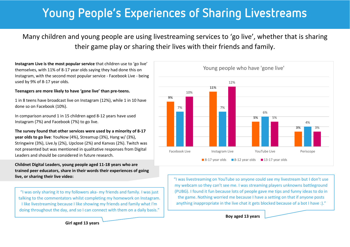### Young People's Experiences of Sharing Livestreams

Many children and young people are using livestreaming services to 'go live', whether that is sharing their game play or sharing their lives with their friends and family.

**Instagram Live is the most popular service** that children use to 'go live' themselves, with 11% of 8-17 year olds saying they had done this on Instagram, with the second most popular service - Facebook Live - being used by 9% of 8-17 year olds.

#### **Teenagers are more likely to have 'gone live' than pre-teens.**

1 in 8 teens have broadcast live on Instagram (12%), while 1 in 10 have done so on Facebook (10%).

In comparison around 1 in 15 children aged 8-12 years have used Instagram (7%) and Facebook (7%) to go live.

**The survey found that other services were used by a minority of 8-17 year olds to go live**: YouNow (4%), Streamup (3%), Hang w/ (3%), Stringwire (3%), Live.ly (2%), Upclose (2%) and Kanvas (2%). Twitch was not presented but was mentioned in qualitative responses from Digital Leaders and should be considered in future research.

**Childnet Digital Leaders, young people aged 11-18 years who are trained peer educators, share in their words their experiences of going live, or sharing their live video:**

"I was only sharing it to my followers aka- my friends and family. I was just talking to the commentators whilst completing my homework on Instagram. I like livestreaming because I like showing my friends and family what I'm doing throughout the day, and so I can connect with them on a daily basis."



"I was livestreaming on YouTube so anyone could see my livestream but I don't use my webcam so they can't see me. I was streaming players unknowns battleground (PUBG). I found it fun because lots of people gave me tips and funny ideas to do in the game. Nothing worried me because I have a setting on that if anyone posts anything inappropriate in the live chat it gets blocked because of a bot I have :)."

**Boy aged 13 years**

**Girl aged 13 years**